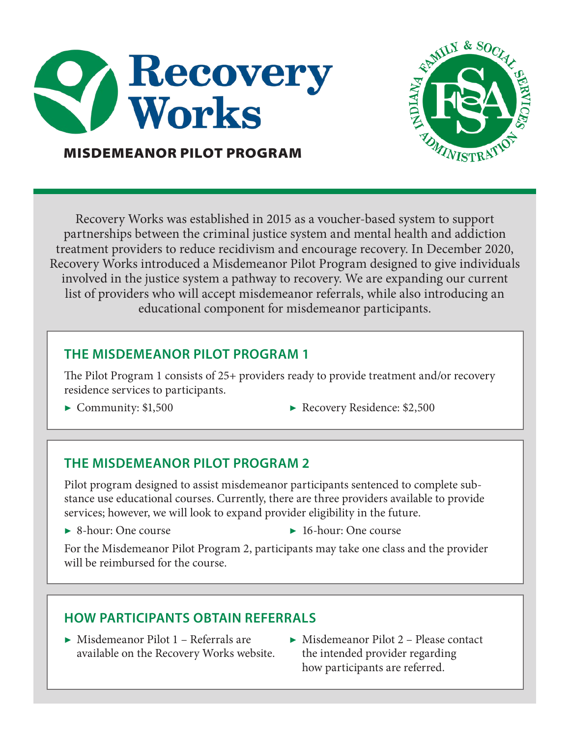



#### MISDEMEANOR PILOT PROGRAM

Recovery Works was established in 2015 as a voucher-based system to support partnerships between the criminal justice system and mental health and addiction treatment providers to reduce recidivism and encourage recovery. In December 2020, Recovery Works introduced a Misdemeanor Pilot Program designed to give individuals involved in the justice system a pathway to recovery. We are expanding our current list of providers who will accept misdemeanor referrals, while also introducing an educational component for misdemeanor participants.

#### **THE MISDEMEANOR PILOT PROGRAM 1**

The Pilot Program 1 consists of 25+ providers ready to provide treatment and/or recovery residence services to participants.

- 
- ▶ Community: \$1,500 ▶ Recovery Residence: \$2,500

### **THE MISDEMEANOR PILOT PROGRAM 2**

Pilot program designed to assist misdemeanor participants sentenced to complete substance use educational courses. Currently, there are three providers available to provide services; however, we will look to expand provider eligibility in the future.

▶ 8-hour: One course ▶ 16-hour: One course

For the Misdemeanor Pilot Program 2, participants may take one class and the provider will be reimbursed for the course.

## **HOW PARTICIPANTS OBTAIN REFERRALS**

- ▶ Misdemeanor Pilot 1 Referrals are available on the Recovery Works website.
- ▶ Misdemeanor Pilot 2 Please contact the intended provider regarding how participants are referred.